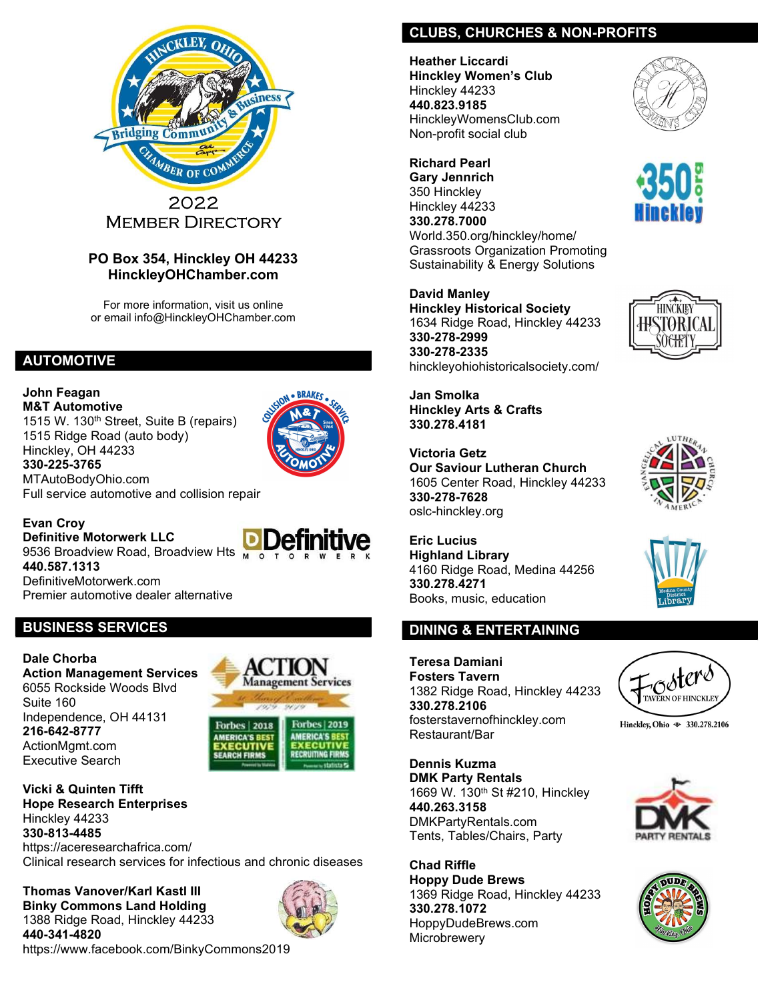

#### PO Box 354, Hinckley OH 44233 HinckleyOHChamber.com

For more information, visit us online or email info@HinckleyOHChamber.com

## AUTOMOTIVE

John Feagan M&T Automotive 1515 W. 130<sup>th</sup> Street, Suite B (repairs) 1515 Ridge Road (auto body) Hinckley, OH 44233 330-225-3765 MTAutoBodyOhio.com



Full service automotive and collision repair

Evan Croy Definitive Motorwerk LLC 9536 Broadview Road, Broadview Hts Mon 440.587.1313 DefinitiveMotorwerk.com Premier automotive dealer alternative

# BUSINESS SERVICES

Dale Chorba Action Management Services 6055 Rockside Woods Blvd Suite 160 Independence, OH 44131 216-642-8777 ActionMgmt.com Executive Search

**Management Services Forbes | 2019 Forbes | 2018 AMERICA'S BES MERICA'S BES FARCH FIRMS** RECRUITING FII

Vicki & Quinten Tifft Hope Research Enterprises Hinckley 44233 330-813-4485 https://aceresearchafrica.com/

Clinical research services for infectious and chronic diseases

Thomas Vanover/Karl Kastl III Binky Commons Land Holding 1388 Ridge Road, Hinckley 44233 440-341-4820 https://www.facebook.com/BinkyCommons2019



## CLUBS, CHURCHES & NON-PROFITS

Heather Liccardi Hinckley Women's Club Hinckley 44233 440.823.9185 HinckleyWomensClub.com Non-profit social club

Richard Pearl Gary Jennrich 350 Hinckley Hinckley 44233 330.278.7000 World.350.org/hinckley/home/ Grassroots Organization Promoting Sustainability & Energy Solutions

David Manley Hinckley Historical Society 1634 Ridge Road, Hinckley 44233 330-278-2999 330-278-2335 hinckleyohiohistoricalsociety.com/

Jan Smolka Hinckley Arts & Crafts 330.278.4181

Victoria Getz Our Saviour Lutheran Church 1605 Center Road, Hinckley 44233 330-278-7628 oslc-hinckley.org

Eric Lucius Highland Library 4160 Ridge Road, Medina 44256 330.278.4271 Books, music, education

# DINING & ENTERTAINING

Teresa Damiani Fosters Tavern 1382 Ridge Road, Hinckley 44233 330.278.2106 fosterstavernofhinckley.com Restaurant/Bar

Dennis Kuzma DMK Party Rentals 1669 W. 130<sup>th</sup> St #210, Hinckley 440.263.3158 DMKPartyRentals.com Tents, Tables/Chairs, Party

Chad Riffle Hoppy Dude Brews 1369 Ridge Road, Hinckley 44233 330.278.1072 HoppyDudeBrews.com **Microbrewery** 













Hinckley, Ohio  $\textcircledast$  330.278.2106



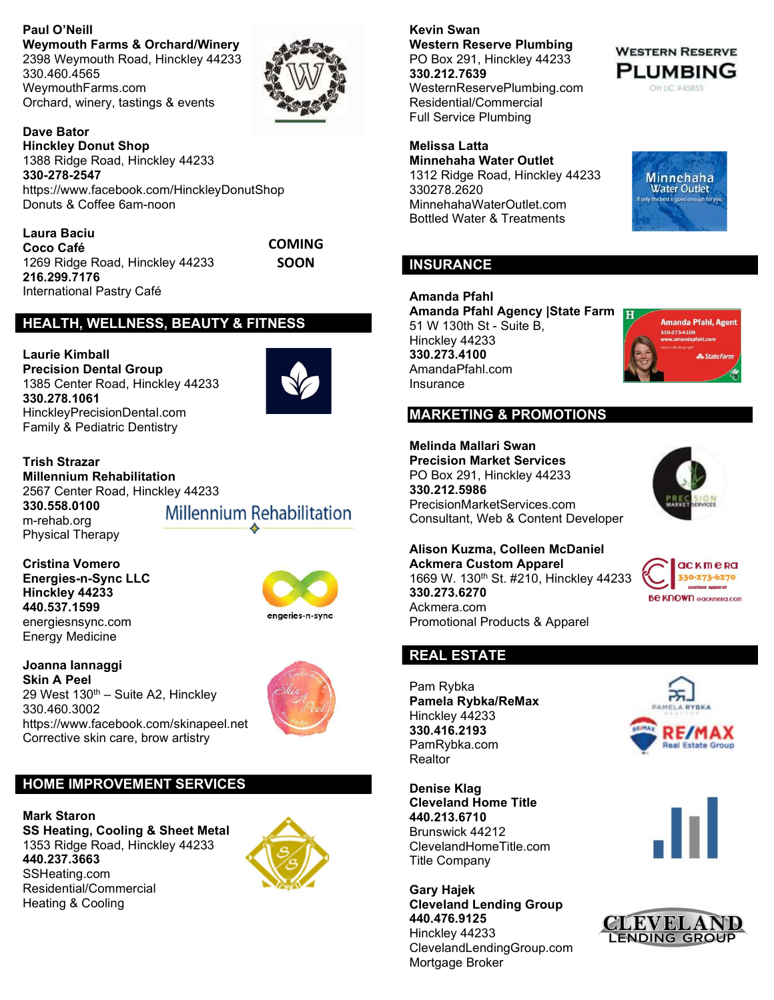Paul O'Neill Weymouth Farms & Orchard/Winery 2398 Weymouth Road, Hinckley 44233 330.460.4565 WeymouthFarms.com Orchard, winery, tastings & events



Dave Bator Hinckley Donut Shop 1388 Ridge Road, Hinckley 44233 330-278-2547 https://www.facebook.com/HinckleyDonutShop Donuts & Coffee 6am-noon

Laura Baciu Coco Café 1269 Ridge Road, Hinckley 44233 216.299.7176 International Pastry Café

COMING **SOON** 

#### HEALTH, WELLNESS, BEAUTY & FITNESS

Laurie Kimball Precision Dental Group 1385 Center Road, Hinckley 44233 330.278.1061 HinckleyPrecisionDental.com Family & Pediatric Dentistry



Trish Strazar Millennium Rehabilitation 2567 Center Road, Hinckley 44233 330.558.0100 m-rehab.org Physical Therapy

Millennium Rehabilitation

Cristina Vomero Energies-n-Sync LLC Hinckley 44233 440.537.1599 energiesnsync.com Energy Medicine



Joanna Iannaggi Skin A Peel 29 West 130<sup>th</sup> – Suite A2, Hinckley 330.460.3002 https://www.facebook.com/skinapeel.net Corrective skin care, brow artistry



## HOME IMPROVEMENT SERVICES

Mark Staron SS Heating, Cooling & Sheet Metal 1353 Ridge Road, Hinckley 44233 440.237.3663 SSHeating.com Residential/Commercial Heating & Cooling



Kevin Swan Western Reserve Plumbing PO Box 291, Hinckley 44233 330.212.7639 WesternReservePlumbing.com Residential/Commercial Full Service Plumbing

Melissa Latta Minnehaha Water Outlet 1312 Ridge Road, Hinckley 44233 330278.2620 MinnehahaWaterOutlet.com Bottled Water & Treatments



**WESTERN RESERVE PLUMBING** OH LIC #45853

#### **INSURANCE**

Amanda Pfahl Amanda Pfahl Agency | State Farm 51 W 130th St - Suite B, Hinckley 44233 330.273.4100 AmandaPfahl.com Insurance



#### MARKETING & PROMOTIONS

Melinda Mallari Swan

Precision Market Services PO Box 291, Hinckley 44233 330.212.5986 PrecisionMarketServices.com Consultant, Web & Content Developer



Alison Kuzma, Colleen McDaniel Ackmera Custom Apparel 1669 W. 130<sup>th</sup> St. #210, Hinckley 44233 330.273.6270 Ackmera.com Promotional Products & Apparel



## REAL ESTATE

Pam Rybka Pamela Rybka/ReMax Hinckley 44233 330.416.2193 PamRybka.com **Realtor** 

Denise Klag Cleveland Home Title 440.213.6710 Brunswick 44212 ClevelandHomeTitle.com Title Company

Gary Hajek Cleveland Lending Group 440.476.9125 Hinckley 44233 ClevelandLendingGroup.com Mortgage Broker